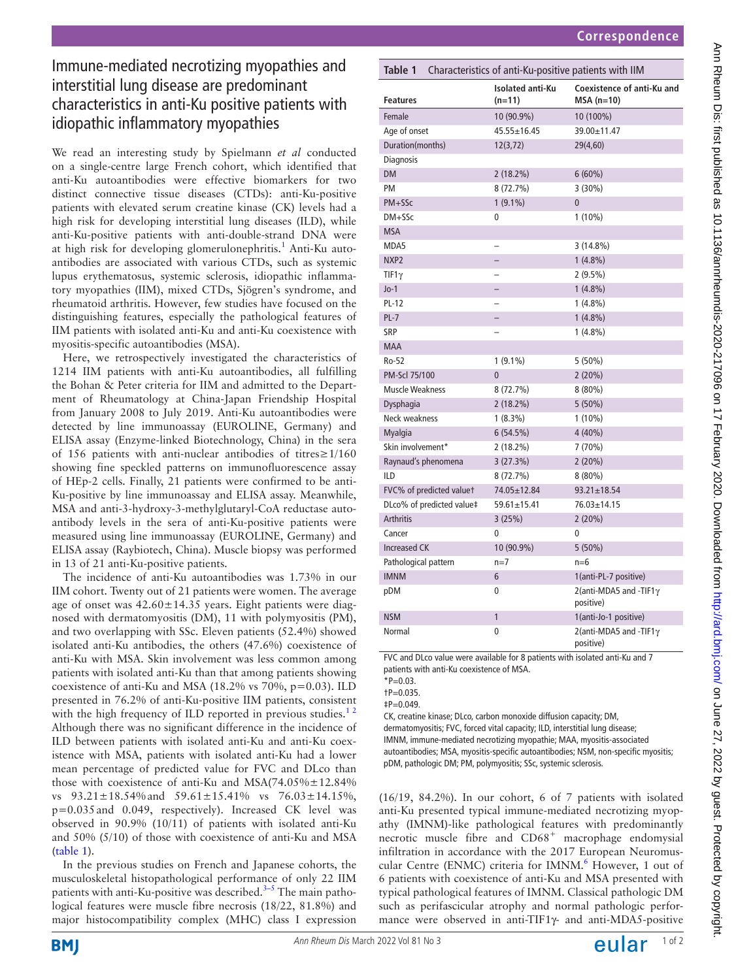# Immune-mediated necrotizing myopathies and interstitial lung disease are predominant characteristics in anti-Ku positive patients with idiopathic inflammatory myopathies

We read an interesting study by Spielmann *et al* conducted on a single-centre large French cohort, which identified that anti-Ku autoantibodies were effective biomarkers for two distinct connective tissue diseases (CTDs): anti-Ku-positive patients with elevated serum creatine kinase (CK) levels had a high risk for developing interstitial lung diseases (ILD), while anti-Ku-positive patients with anti-double-strand DNA were at high risk for developing glomerulonephritis.<sup>[1](#page-1-0)</sup> Anti-Ku autoantibodies are associated with various CTDs, such as systemic lupus erythematosus, systemic sclerosis, idiopathic inflammatory myopathies (IIM), mixed CTDs, Sjögren's syndrome, and rheumatoid arthritis. However, few studies have focused on the distinguishing features, especially the pathological features of IIM patients with isolated anti-Ku and anti-Ku coexistence with myositis-specific autoantibodies (MSA).

Here, we retrospectively investigated the characteristics of 1214 IIM patients with anti-Ku autoantibodies, all fulfilling the Bohan & Peter criteria for IIM and admitted to the Department of Rheumatology at China-Japan Friendship Hospital from January 2008 to July 2019. Anti-Ku autoantibodies were detected by line immunoassay (EUROLINE, Germany) and ELISA assay (Enzyme-linked Biotechnology, China) in the sera of 156 patients with anti-nuclear antibodies of titres≥1/160 showing fine speckled patterns on immunofluorescence assay of HEp-2 cells. Finally, 21 patients were confirmed to be anti-Ku-positive by line immunoassay and ELISA assay. Meanwhile, MSA and anti-3-hydroxy-3-methylglutaryl-CoA reductase autoantibody levels in the sera of anti-Ku-positive patients were measured using line immunoassay (EUROLINE, Germany) and ELISA assay (Raybiotech, China). Muscle biopsy was performed in 13 of 21 anti-Ku-positive patients.

The incidence of anti-Ku autoantibodies was 1.73% in our IIM cohort. Twenty out of 21 patients were women. The average age of onset was  $42.60 \pm 14.35$  years. Eight patients were diagnosed with dermatomyositis (DM), 11 with polymyositis (PM), and two overlapping with SSc. Eleven patients (52.4%) showed isolated anti-Ku antibodies, the others (47.6%) coexistence of anti-Ku with MSA. Skin involvement was less common among patients with isolated anti-Ku than that among patients showing coexistence of anti-Ku and MSA (18.2% vs 70%, p=0.03). ILD presented in 76.2% of anti-Ku-positive IIM patients, consistent with the high frequency of ILD reported in previous studies. $12$ Although there was no significant difference in the incidence of ILD between patients with isolated anti-Ku and anti-Ku coexistence with MSA, patients with isolated anti-Ku had a lower mean percentage of predicted value for FVC and DLco than those with coexistence of anti-Ku and  $MSA(74.05\% \pm 12.84\%)$ vs  $93.21 \pm 18.54\%$  and  $59.61 \pm 15.41\%$  vs  $76.03 \pm 14.15\%$ , p=0.035and 0.049, respectively). Increased CK level was observed in 90.9% (10/11) of patients with isolated anti-Ku and 50% (5/10) of those with coexistence of anti-Ku and MSA ([table](#page-0-0) 1).

In the previous studies on French and Japanese cohorts, the musculoskeletal histopathological performance of only 22 IIM patients with anti-Ku-positive was described.<sup>3-5</sup> The main pathological features were muscle fibre necrosis (18/22, 81.8%) and major histocompatibility complex (MHC) class I expression

<span id="page-0-0"></span>

| Table 1<br>Characteristics of anti-Ku-positive patients with IIM |                                     |                                                |
|------------------------------------------------------------------|-------------------------------------|------------------------------------------------|
| <b>Features</b>                                                  | <b>Isolated anti-Ku</b><br>$(n=11)$ | Coexistence of anti-Ku and<br>$MSA(n=10)$      |
| Female                                                           | 10 (90.9%)                          | 10 (100%)                                      |
| Age of onset                                                     | 45.55±16.45                         | 39.00±11.47                                    |
| Duration(months)                                                 | 12(3, 72)                           | 29(4,60)                                       |
| Diagnosis                                                        |                                     |                                                |
| <b>DM</b>                                                        | $2(18.2\%)$                         | $6(60\%)$                                      |
| PM                                                               | 8 (72.7%)                           | $3(30\%)$                                      |
| PM+SSc                                                           | $1(9.1\%)$                          | $\mathbf{0}$                                   |
| $DM + SSc$                                                       | 0                                   | $1(10\%)$                                      |
| <b>MSA</b>                                                       |                                     |                                                |
| MDA5                                                             |                                     | $3(14.8\%)$                                    |
| NXP2                                                             |                                     | $1(4.8\%)$                                     |
| $TIF1\gamma$                                                     |                                     | $2(9.5\%)$                                     |
| $Jo-1$                                                           |                                     | $1(4.8\%)$                                     |
| <b>PL-12</b>                                                     | $\overline{\phantom{0}}$            | $1(4.8\%)$                                     |
| $PL-7$                                                           |                                     | $1(4.8\%)$                                     |
| SRP                                                              |                                     | $1(4.8\%)$                                     |
| <b>MAA</b>                                                       |                                     |                                                |
| Ro-52                                                            | $1(9.1\%)$                          | $5(50\%)$                                      |
| PM-Scl 75/100                                                    | $\overline{0}$                      | 2(20%)                                         |
| <b>Muscle Weakness</b>                                           | 8 (72.7%)                           | $8(80\%)$                                      |
| Dysphagia                                                        | $2(18.2\%)$                         | $5(50\%)$                                      |
| Neck weakness                                                    | $1(8.3\%)$                          | $1(10\%)$                                      |
| <b>Myalgia</b>                                                   | 6(54.5%)                            | $4(40\%)$                                      |
| Skin involvement*                                                | $2(18.2\%)$                         | 7 (70%)                                        |
| Raynaud's phenomena                                              | 3(27.3%)                            | 2(20%)                                         |
| <b>ILD</b>                                                       | $8(72.7\%)$                         | $8(80\%)$                                      |
| FVC% of predicted valuet                                         | 74.05±12.84                         | $93.21 \pm 18.54$                              |
| DLco% of predicted value‡                                        | $59.61 \pm 15.41$                   | 76.03±14.15                                    |
| <b>Arthritis</b>                                                 | 3(25%)                              | 2(20%)                                         |
| Cancer                                                           | 0                                   | 0                                              |
| <b>Increased CK</b>                                              | 10 (90.9%)                          | $5(50\%)$                                      |
| Pathological pattern                                             | $n=7$                               | $n=6$                                          |
| <b>IMNM</b>                                                      | 6                                   | 1(anti-PL-7 positive)                          |
| pDM                                                              | 0                                   | $2$ (anti-MDA5 and -TIF1 $\gamma$<br>positive) |
| <b>NSM</b>                                                       | 1                                   | 1(anti-Jo-1 positive)                          |
| Normal                                                           | 0                                   | 2(anti-MDA5 and -TIF1 $\gamma$<br>positive)    |

FVC and DLco value were available for 8 patients with isolated anti-Ku and 7 patients with anti-Ku coexistence of MSA.

 $*P=0.03$ .

†P=0.035.

 $\ddagger P = 0.049$ .

CK, creatine kinase; DLco, carbon monoxide diffusion capacity; DM, dermatomyositis; FVC, forced vital capacity; ILD, interstitial lung disease; IMNM, immune-mediated necrotizing myopathie; MAA, myositis-associated autoantibodies; MSA, myositis-specific autoantibodies; NSM, non-specific myositis; pDM, pathologic DM; PM, polymyositis; SSc, systemic sclerosis.

(16/19, 84.2%). In our cohort, 6 of 7 patients with isolated anti-Ku presented typical immune-mediated necrotizing myopathy (IMNM)-like pathological features with predominantly necrotic muscle fibre and  $CD68<sup>+</sup>$  macrophage endomysial infiltration in accordance with the 2017 European Neuromus-cular Centre (ENMC) criteria for IMNM.<sup>[6](#page-1-2)</sup> However, 1 out of 6 patients with coexistence of anti-Ku and MSA presented with typical pathological features of IMNM. Classical pathologic DM such as perifascicular atrophy and normal pathologic performance were observed in anti-TIF1γ- and anti-MDA5-positive